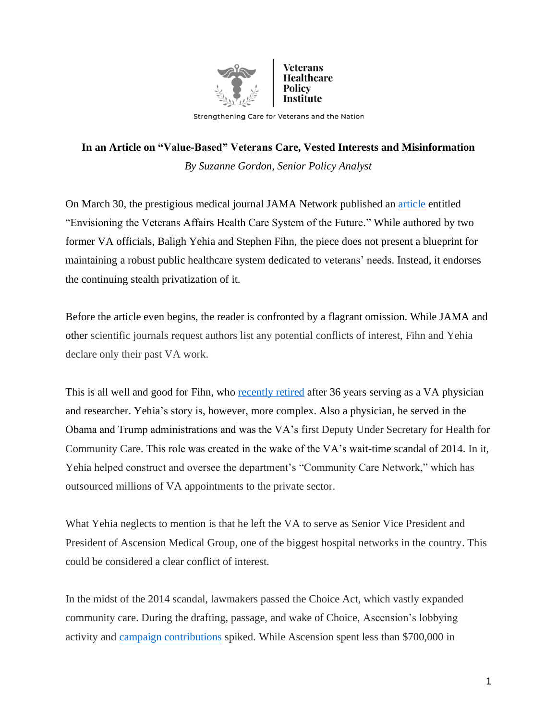

Strengthening Care for Veterans and the Nation

## **In an Article on "Value-Based" Veterans Care, Vested Interests and Misinformation** *By Suzanne Gordon, Senior Policy Analyst*

On March 30, the prestigious medical journal JAMA Network published an [article](https://jamanetwork.com/journals/jama/fullarticle/2777725) entitled "Envisioning the Veterans Affairs Health Care System of the Future." While authored by two former VA officials, Baligh Yehia and Stephen Fihn, the piece does not present a blueprint for maintaining a robust public healthcare system dedicated to veterans' needs. Instead, it endorses the continuing stealth privatization of it.

Before the article even begins, the reader is confronted by a flagrant omission. While JAMA and other scientific journals request authors list any potential conflicts of interest, Fihn and Yehia declare only their past VA work.

This is all well and good for Fihn, who [recently retired](https://www.hsrd.research.va.gov/news/research_news/fihn-020118.cfm) after 36 years serving as a VA physician and researcher. Yehia's story is, however, more complex. Also a physician, he served in the Obama and Trump administrations and was the VA's first Deputy Under Secretary for Health for Community Care. This role was created in the wake of the VA's wait-time scandal of 2014. In it, Yehia helped construct and oversee the department's "Community Care Network," which has outsourced millions of VA appointments to the private sector.

What Yehia neglects to mention is that he left the VA to serve as Senior Vice President and President of Ascension Medical Group, one of the biggest hospital networks in the country. This could be considered a clear conflict of interest.

In the midst of the 2014 scandal, lawmakers passed the Choice Act, which vastly expanded community care. During the drafting, passage, and wake of Choice, Ascension's lobbying activity and [campaign contributions](https://www.opensecrets.org/orgs/ascension-health/totals?id=D000047329) spiked. While Ascension spent less than \$700,000 in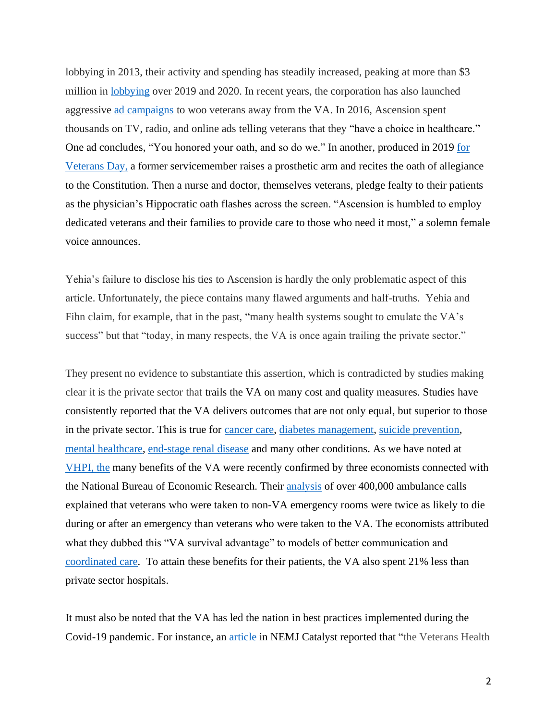lobbying in 2013, their activity and spending has steadily increased, peaking at more than \$3 million in [lobbying](https://www.opensecrets.org/orgs/ascension-health/summary?id=D000047329) over 2019 and 2020. In recent years, the corporation has also launched aggressive [ad campaigns](https://www.latimes.com/nation/ct-veterans-private-health-care-20160325-story.html) to woo veterans away from the VA. In 2016, Ascension spent thousands on TV, radio, and online ads telling veterans that they "have a choice in healthcare." One ad concludes, "You honored your oath, and so do we." In another, produced in 2019 [for](http://site-111702.bcvp0rtal.com/?videoId=6101605689001)  [Veterans Day,](http://site-111702.bcvp0rtal.com/?videoId=6101605689001) a former servicemember raises a prosthetic arm and recites the oath of allegiance to the Constitution. Then a nurse and doctor, themselves veterans, pledge fealty to their patients as the physician's Hippocratic oath flashes across the screen. "Ascension is humbled to employ dedicated veterans and their families to provide care to those who need it most," a solemn female voice announces.

Yehia's failure to disclose his ties to Ascension is hardly the only problematic aspect of this article. Unfortunately, the piece contains many flawed arguments and half-truths. Yehia and Fihn claim, for example, that in the past, "many health systems sought to emulate the VA's success" but that "today, in many respects, the VA is once again trailing the private sector."

They present no evidence to substantiate this assertion, which is contradicted by studies making clear it is the private sector that trails the VA on many cost and quality measures. Studies have consistently reported that the VA delivers outcomes that are not only equal, but superior to those in the private sector. This is true for [cancer care,](https://www.researchgate.net/publication/51196731_Quality_of_Care_for_Older_Patients_With_Cancer_in_the_Veterans_Health_Administration_Versus_the_Private_Sector_A_Cohort_Study) [diabetes management,](https://pubmed.ncbi.nlm.nih.gov/15313743/) [suicide prevention,](https://www.mentalhealth.va.gov/docs/data-sheets/2019/2019_National_Veteran_Suicide_Prevention_Annual_Report_508.pdf) [mental healthcare,](https://www.rand.org/pubs/research_reports/RR806.html) [end-stage renal disease](https://jasn.asnjournals.org/content/30/1/159) and many other conditions. As we have noted at [VHPI,](https://www.veteranspolicy.org/post/new-stanford-study-settles-the-privatization-debate-va-produces-better-outcomes-at-lower-cost) the many benefits of the VA were recently confirmed by three economists connected with the National Bureau of Economic Research. Their [analysis](http://conference.nber.org/conf_papers/f145428.pdf) of over 400,000 ambulance calls explained that veterans who were taken to non-VA emergency rooms were twice as likely to die during or after an emergency than veterans who were taken to the VA. The economists attributed what they dubbed this "VA survival advantage" to models of better communication and [coordinated care.](https://www.veteranspolicy.org/post/a-va-primary-care-physician-explains-how-the-va-advantage-works-on-the-ground) To attain these benefits for their patients, the VA also spent 21% less than private sector hospitals.

It must also be noted that the VA has led the nation in best practices implemented during the Covid-19 pandemic. For instance, an [article](https://catalyst.nejm.org/doi/full/10.1056/cat.20.0327) in NEMJ Catalyst reported that "the Veterans Health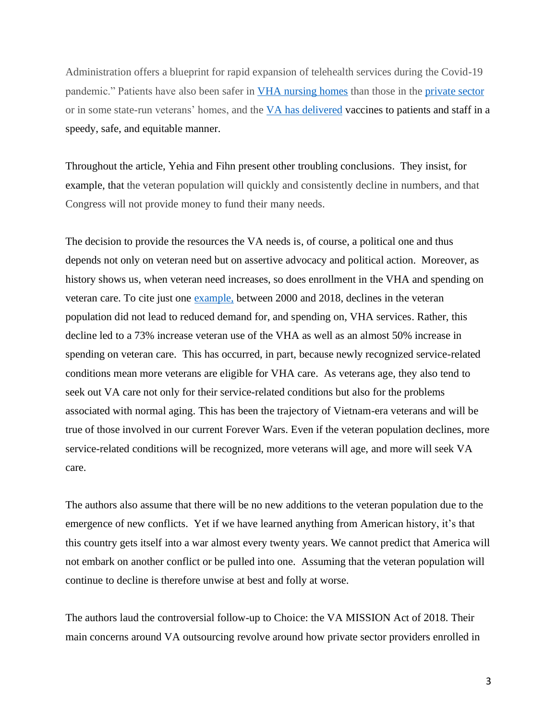Administration offers a blueprint for rapid expansion of telehealth services during the Covid-19 pandemic." Patients have also been safer in [VHA nursing homes](https://www.newsobserver.com/news/local/article242862351.html) than those in the [private sector](https://www.wral.com/coronavirus/covid-19-outbreak-at-fayetteville-veterans-nursing-home/19113902/) or in some state-run veterans' homes, and the [VA has delivered](https://www.startribune.com/va-outreach-puts-minnesota-veterans-on-vaccine-fast-track/600038449/) vaccines to patients and staff in a speedy, safe, and equitable manner.

Throughout the article, Yehia and Fihn present other troubling conclusions. They insist, for example, that the veteran population will quickly and consistently decline in numbers, and that Congress will not provide money to fund their many needs.

The decision to provide the resources the VA needs is, of course, a political one and thus depends not only on veteran need but on assertive advocacy and political action. Moreover, as history shows us, when veteran need increases, so does enrollment in the VHA and spending on veteran care. To cite just one [example,](https://siepr.stanford.edu/research/publications/soldiering-improving-policies-benefit-america-s-veterans) between 2000 and 2018, declines in the veteran population did not lead to reduced demand for, and spending on, VHA services. Rather, this decline led to a 73% increase veteran use of the VHA as well as an almost 50% increase in spending on veteran care. This has occurred, in part, because newly recognized service-related conditions mean more veterans are eligible for VHA care. As veterans age, they also tend to seek out VA care not only for their service-related conditions but also for the problems associated with normal aging. This has been the trajectory of Vietnam-era veterans and will be true of those involved in our current Forever Wars. Even if the veteran population declines, more service-related conditions will be recognized, more veterans will age, and more will seek VA care.

The authors also assume that there will be no new additions to the veteran population due to the emergence of new conflicts. Yet if we have learned anything from American history, it's that this country gets itself into a war almost every twenty years. We cannot predict that America will not embark on another conflict or be pulled into one. Assuming that the veteran population will continue to decline is therefore unwise at best and folly at worse.

The authors laud the controversial follow-up to Choice: the VA MISSION Act of 2018. Their main concerns around VA outsourcing revolve around how private sector providers enrolled in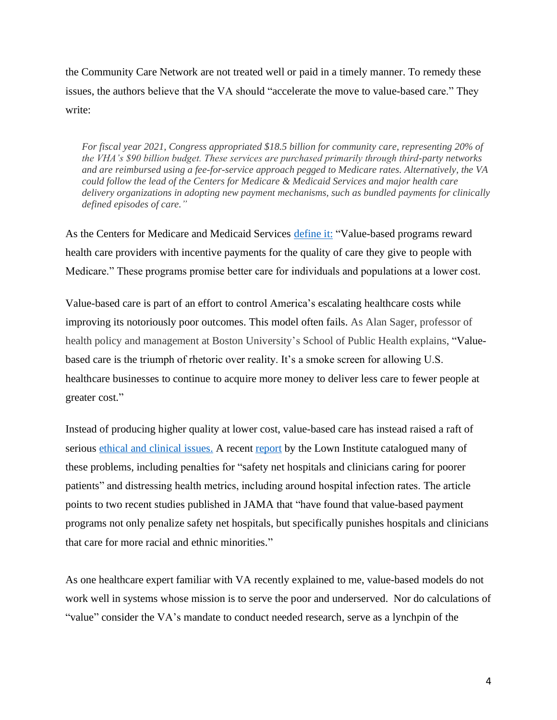the Community Care Network are not treated well or paid in a timely manner. To remedy these issues, the authors believe that the VA should "accelerate the move to value-based care." They write:

*For fiscal year 2021, Congress appropriated \$18.5 billion for community care, representing 20% of the VHA's \$90 billion budget. These services are purchased primarily through third-party networks and are reimbursed using a fee-for-service approach pegged to Medicare rates. Alternatively, the VA could follow the lead of the Centers for Medicare & Medicaid Services and major health care delivery organizations in adopting new payment mechanisms, such as bundled payments for clinically defined episodes of care."*

As the Centers for Medicare and Medicaid Services [define it:](https://www.cms.gov/Medicare/Quality-Initiatives-Patient-Assessment-Instruments/Value-Based-Programs/Value-Based-Programs) "Value-based programs reward health care providers with incentive payments for the quality of care they give to people with Medicare." These programs promise better care for individuals and populations at a lower cost.

Value-based care is part of an effort to control America's escalating healthcare costs while improving its notoriously poor outcomes. This model often fails. As Alan Sager, professor of health policy and management at Boston University's School of Public Health explains, "Valuebased care is the triumph of rhetoric over reality. It's a smoke screen for allowing U.S. healthcare businesses to continue to acquire more money to deliver less care to fewer people at greater cost."

Instead of producing higher quality at lower cost, value-based care has instead raised a raft of serious [ethical and clinical issues.](https://bmchealthservres.biomedcentral.com/articles/10.1186/s12913-019-4081-6) A recent [report](https://lowninstitute.org/value-based-care-has-an-equity-problem/) by the Lown Institute catalogued many of these problems, including penalties for "safety net hospitals and clinicians caring for poorer patients" and distressing health metrics, including around hospital infection rates. The article points to two recent studies published in JAMA that "have found that value-based payment programs not only penalize safety net hospitals, but specifically punishes hospitals and clinicians that care for more racial and ethnic minorities."

As one healthcare expert familiar with VA recently explained to me, value-based models do not work well in systems whose mission is to serve the poor and underserved. Nor do calculations of "value" consider the VA's mandate to conduct needed research, serve as a lynchpin of the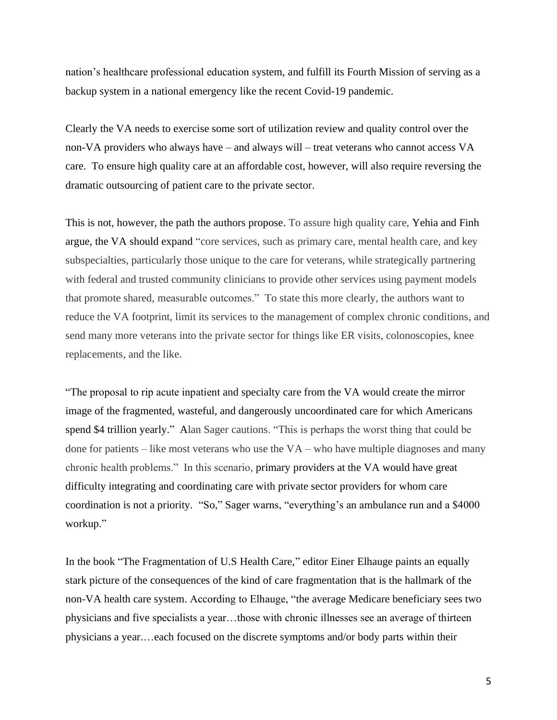nation's healthcare professional education system, and fulfill its Fourth Mission of serving as a backup system in a national emergency like the recent Covid-19 pandemic.

Clearly the VA needs to exercise some sort of utilization review and quality control over the non-VA providers who always have – and always will – treat veterans who cannot access VA care. To ensure high quality care at an affordable cost, however, will also require reversing the dramatic outsourcing of patient care to the private sector.

This is not, however, the path the authors propose. To assure high quality care, Yehia and Finh argue, the VA should expand "core services, such as primary care, mental health care, and key subspecialties, particularly those unique to the care for veterans, while strategically partnering with federal and trusted community clinicians to provide other services using payment models that promote shared, measurable outcomes." To state this more clearly, the authors want to reduce the VA footprint, limit its services to the management of complex chronic conditions, and send many more veterans into the private sector for things like ER visits, colonoscopies, knee replacements, and the like.

"The proposal to rip acute inpatient and specialty care from the VA would create the mirror image of the fragmented, wasteful, and dangerously uncoordinated care for which Americans spend \$4 trillion yearly." Alan Sager cautions. "This is perhaps the worst thing that could be done for patients – like most veterans who use the VA – who have multiple diagnoses and many chronic health problems." In this scenario, primary providers at the VA would have great difficulty integrating and coordinating care with private sector providers for whom care coordination is not a priority. "So," Sager warns, "everything's an ambulance run and a \$4000 workup."

In the book "The Fragmentation of U.S Health Care," editor Einer Elhauge paints an equally stark picture of the consequences of the kind of care fragmentation that is the hallmark of the non-VA health care system. According to Elhauge, "the average Medicare beneficiary sees two physicians and five specialists a year…those with chronic illnesses see an average of thirteen physicians a year.…each focused on the discrete symptoms and/or body parts within their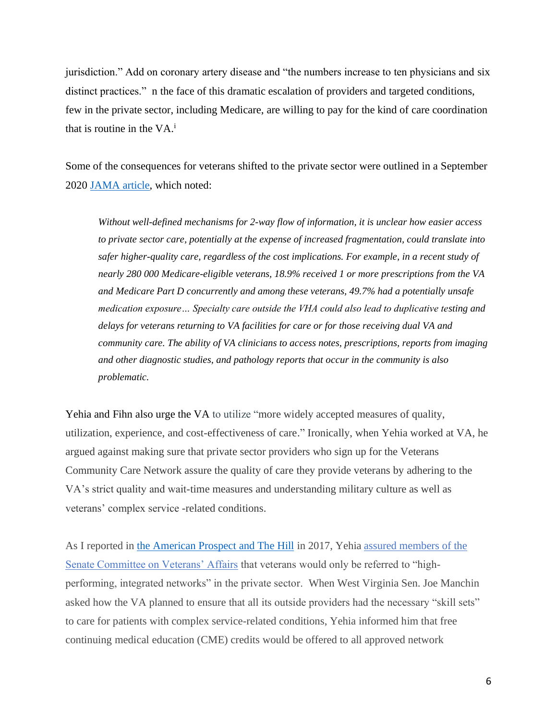jurisdiction." Add on coronary artery disease and "the numbers increase to ten physicians and six distinct practices." n the face of this dramatic escalation of providers and targeted conditions, few in the private sector, including Medicare, are willing to pay for the kind of care coordination that is routine in the  $VA$ <sup>i</sup>

Some of the consequences for veterans shifted to the private sector were outlined in a September 2020 [JAMA article,](https://jamanetwork.com/journals/jama/article-abstract/2767996) which noted:

*Without well-defined mechanisms for 2-way flow of information, it is unclear how easier access to private sector care, potentially at the expense of increased fragmentation, could translate into safer higher-quality care, regardless of the cost implications. For example, in a recent study of nearly 280 000 Medicare-eligible veterans, 18.9% received 1 or more prescriptions from the VA and Medicare Part D concurrently and among these veterans, 49.7% had a potentially unsafe medication exposure… Specialty care outside the VHA could also lead to duplicative testing and delays for veterans returning to VA facilities for care or for those receiving dual VA and community care. The ability of VA clinicians to access notes, prescriptions, reports from imaging and other diagnostic studies, and pathology reports that occur in the community is also problematic.*

Yehia and Fihn also urge the VA to utilize "more widely accepted measures of quality, utilization, experience, and cost-effectiveness of care." Ironically, when Yehia worked at VA, he argued against making sure that private sector providers who sign up for the Veterans Community Care Network assure the quality of care they provide veterans by adhering to the VA's strict quality and wait-time measures and understanding military culture as well as veterans' complex service -related conditions.

As I reported in [the American Prospect](https://prospect.org/health/vets-and-va-workers-are-mia-from-biden-transition/) and The Hill in 2017, Yehia [assured members of the](https://thehill.com/blogs/pundits-blog/the-military/342088-trumps-plan-to-privatize-the-va-will-hurt-vets)  [Senate Committee on Veterans' Affairs](https://thehill.com/blogs/pundits-blog/the-military/342088-trumps-plan-to-privatize-the-va-will-hurt-vets) that veterans would only be referred to "highperforming, integrated networks" in the private sector. When West Virginia Sen. Joe Manchin asked how the VA planned to ensure that all its outside providers had the necessary "skill sets" to care for patients with complex service-related conditions, Yehia informed him that free continuing medical education (CME) credits would be offered to all approved network